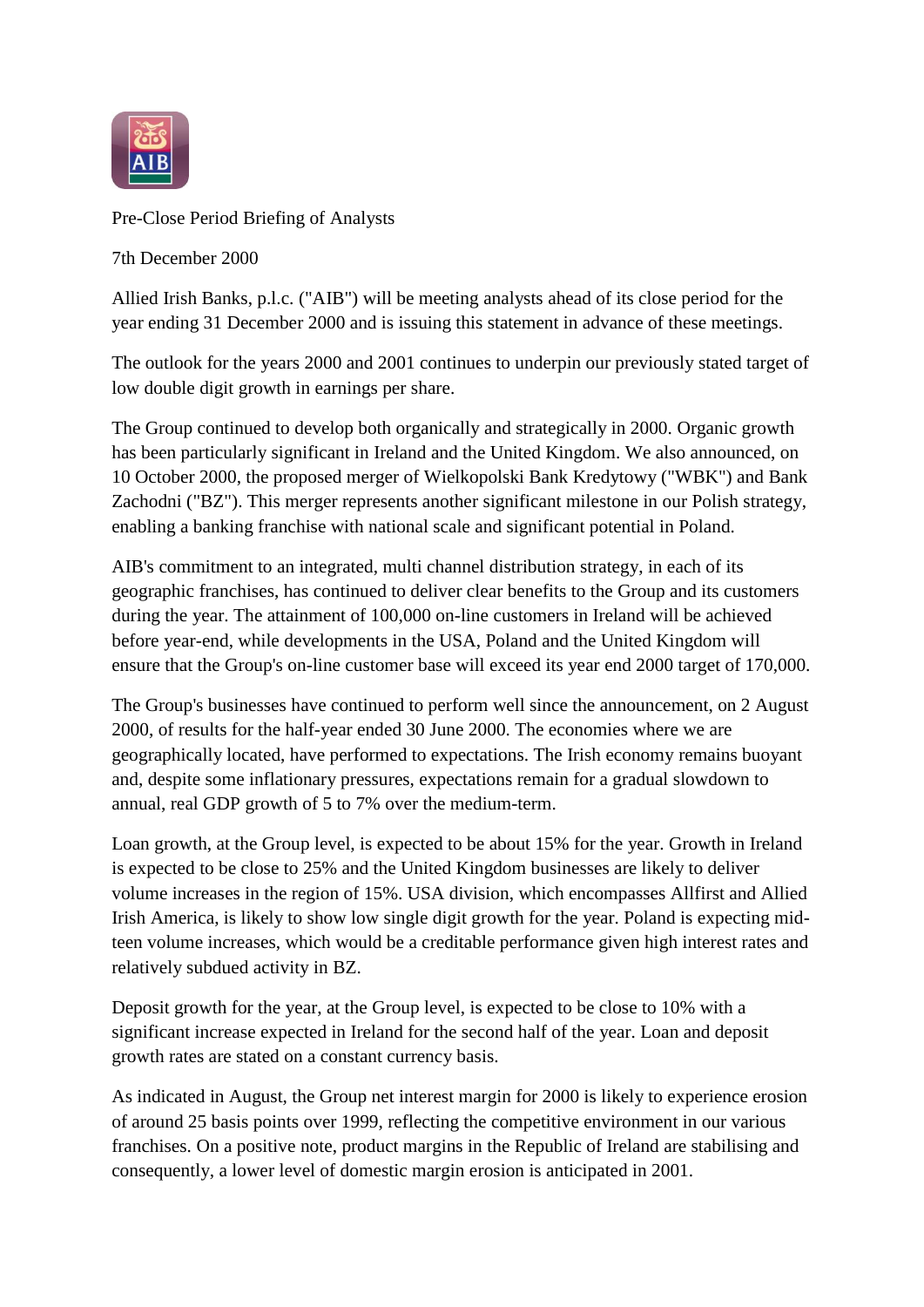

## Pre-Close Period Briefing of Analysts

7th December 2000

Allied Irish Banks, p.l.c. ("AIB") will be meeting analysts ahead of its close period for the year ending 31 December 2000 and is issuing this statement in advance of these meetings.

The outlook for the years 2000 and 2001 continues to underpin our previously stated target of low double digit growth in earnings per share.

The Group continued to develop both organically and strategically in 2000. Organic growth has been particularly significant in Ireland and the United Kingdom. We also announced, on 10 October 2000, the proposed merger of Wielkopolski Bank Kredytowy ("WBK") and Bank Zachodni ("BZ"). This merger represents another significant milestone in our Polish strategy, enabling a banking franchise with national scale and significant potential in Poland.

AIB's commitment to an integrated, multi channel distribution strategy, in each of its geographic franchises, has continued to deliver clear benefits to the Group and its customers during the year. The attainment of 100,000 on-line customers in Ireland will be achieved before year-end, while developments in the USA, Poland and the United Kingdom will ensure that the Group's on-line customer base will exceed its year end 2000 target of 170,000.

The Group's businesses have continued to perform well since the announcement, on 2 August 2000, of results for the half-year ended 30 June 2000. The economies where we are geographically located, have performed to expectations. The Irish economy remains buoyant and, despite some inflationary pressures, expectations remain for a gradual slowdown to annual, real GDP growth of 5 to 7% over the medium-term.

Loan growth, at the Group level, is expected to be about 15% for the year. Growth in Ireland is expected to be close to 25% and the United Kingdom businesses are likely to deliver volume increases in the region of 15%. USA division, which encompasses Allfirst and Allied Irish America, is likely to show low single digit growth for the year. Poland is expecting midteen volume increases, which would be a creditable performance given high interest rates and relatively subdued activity in BZ.

Deposit growth for the year, at the Group level, is expected to be close to 10% with a significant increase expected in Ireland for the second half of the year. Loan and deposit growth rates are stated on a constant currency basis.

As indicated in August, the Group net interest margin for 2000 is likely to experience erosion of around 25 basis points over 1999, reflecting the competitive environment in our various franchises. On a positive note, product margins in the Republic of Ireland are stabilising and consequently, a lower level of domestic margin erosion is anticipated in 2001.